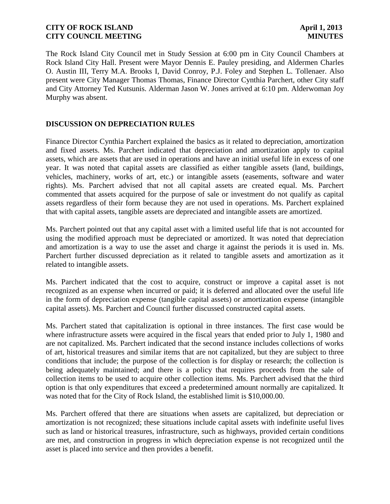The Rock Island City Council met in Study Session at 6:00 pm in City Council Chambers at Rock Island City Hall. Present were Mayor Dennis E. Pauley presiding, and Aldermen Charles O. Austin III, Terry M.A. Brooks I, David Conroy, P.J. Foley and Stephen L. Tollenaer. Also present were City Manager Thomas Thomas, Finance Director Cynthia Parchert, other City staff and City Attorney Ted Kutsunis. Alderman Jason W. Jones arrived at 6:10 pm. Alderwoman Joy Murphy was absent.

# **DISCUSSION ON DEPRECIATION RULES**

Finance Director Cynthia Parchert explained the basics as it related to depreciation, amortization and fixed assets. Ms. Parchert indicated that depreciation and amortization apply to capital assets, which are assets that are used in operations and have an initial useful life in excess of one year. It was noted that capital assets are classified as either tangible assets (land, buildings, vehicles, machinery, works of art, etc.) or intangible assets (easements, software and water rights). Ms. Parchert advised that not all capital assets are created equal. Ms. Parchert commented that assets acquired for the purpose of sale or investment do not qualify as capital assets regardless of their form because they are not used in operations. Ms. Parchert explained that with capital assets, tangible assets are depreciated and intangible assets are amortized.

Ms. Parchert pointed out that any capital asset with a limited useful life that is not accounted for using the modified approach must be depreciated or amortized. It was noted that depreciation and amortization is a way to use the asset and charge it against the periods it is used in. Ms. Parchert further discussed depreciation as it related to tangible assets and amortization as it related to intangible assets.

Ms. Parchert indicated that the cost to acquire, construct or improve a capital asset is not recognized as an expense when incurred or paid; it is deferred and allocated over the useful life in the form of depreciation expense (tangible capital assets) or amortization expense (intangible capital assets). Ms. Parchert and Council further discussed constructed capital assets.

Ms. Parchert stated that capitalization is optional in three instances. The first case would be where infrastructure assets were acquired in the fiscal years that ended prior to July 1, 1980 and are not capitalized. Ms. Parchert indicated that the second instance includes collections of works of art, historical treasures and similar items that are not capitalized, but they are subject to three conditions that include; the purpose of the collection is for display or research; the collection is being adequately maintained; and there is a policy that requires proceeds from the sale of collection items to be used to acquire other collection items. Ms. Parchert advised that the third option is that only expenditures that exceed a predetermined amount normally are capitalized. It was noted that for the City of Rock Island, the established limit is \$10,000.00.

Ms. Parchert offered that there are situations when assets are capitalized, but depreciation or amortization is not recognized; these situations include capital assets with indefinite useful lives such as land or historical treasures, infrastructure, such as highways, provided certain conditions are met, and construction in progress in which depreciation expense is not recognized until the asset is placed into service and then provides a benefit.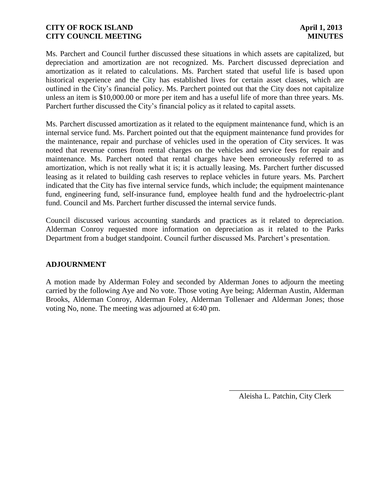Ms. Parchert and Council further discussed these situations in which assets are capitalized, but depreciation and amortization are not recognized. Ms. Parchert discussed depreciation and amortization as it related to calculations. Ms. Parchert stated that useful life is based upon historical experience and the City has established lives for certain asset classes, which are outlined in the City's financial policy. Ms. Parchert pointed out that the City does not capitalize unless an item is \$10,000.00 or more per item and has a useful life of more than three years. Ms. Parchert further discussed the City's financial policy as it related to capital assets.

Ms. Parchert discussed amortization as it related to the equipment maintenance fund, which is an internal service fund. Ms. Parchert pointed out that the equipment maintenance fund provides for the maintenance, repair and purchase of vehicles used in the operation of City services. It was noted that revenue comes from rental charges on the vehicles and service fees for repair and maintenance. Ms. Parchert noted that rental charges have been erroneously referred to as amortization, which is not really what it is; it is actually leasing. Ms. Parchert further discussed leasing as it related to building cash reserves to replace vehicles in future years. Ms. Parchert indicated that the City has five internal service funds, which include; the equipment maintenance fund, engineering fund, self-insurance fund, employee health fund and the hydroelectric-plant fund. Council and Ms. Parchert further discussed the internal service funds.

Council discussed various accounting standards and practices as it related to depreciation. Alderman Conroy requested more information on depreciation as it related to the Parks Department from a budget standpoint. Council further discussed Ms. Parchert's presentation.

# **ADJOURNMENT**

A motion made by Alderman Foley and seconded by Alderman Jones to adjourn the meeting carried by the following Aye and No vote. Those voting Aye being; Alderman Austin, Alderman Brooks, Alderman Conroy, Alderman Foley, Alderman Tollenaer and Alderman Jones; those voting No, none. The meeting was adjourned at 6:40 pm.

> \_\_\_\_\_\_\_\_\_\_\_\_\_\_\_\_\_\_\_\_\_\_\_\_\_\_\_\_\_\_ Aleisha L. Patchin, City Clerk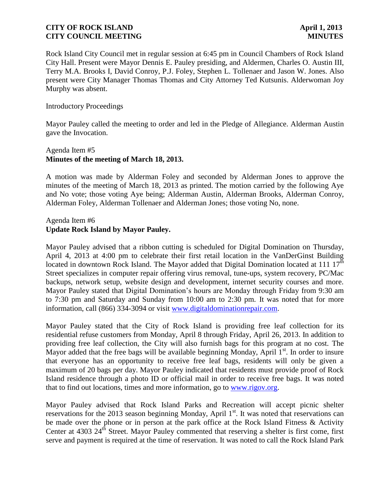Rock Island City Council met in regular session at 6:45 pm in Council Chambers of Rock Island City Hall. Present were Mayor Dennis E. Pauley presiding, and Aldermen, Charles O. Austin III, Terry M.A. Brooks I, David Conroy, P.J. Foley, Stephen L. Tollenaer and Jason W. Jones. Also present were City Manager Thomas Thomas and City Attorney Ted Kutsunis. Alderwoman Joy Murphy was absent.

#### Introductory Proceedings

Mayor Pauley called the meeting to order and led in the Pledge of Allegiance. Alderman Austin gave the Invocation.

# Agenda Item #5 **Minutes of the meeting of March 18, 2013.**

A motion was made by Alderman Foley and seconded by Alderman Jones to approve the minutes of the meeting of March 18, 2013 as printed. The motion carried by the following Aye and No vote; those voting Aye being; Alderman Austin, Alderman Brooks, Alderman Conroy, Alderman Foley, Alderman Tollenaer and Alderman Jones; those voting No, none.

# Agenda Item #6 **Update Rock Island by Mayor Pauley.**

Mayor Pauley advised that a ribbon cutting is scheduled for Digital Domination on Thursday, April 4, 2013 at 4:00 pm to celebrate their first retail location in the VanDerGinst Building located in downtown Rock Island. The Mayor added that Digital Domination located at 111  $17<sup>th</sup>$ Street specializes in computer repair offering virus removal, tune-ups, system recovery, PC/Mac backups, network setup, website design and development, internet security courses and more. Mayor Pauley stated that Digital Domination's hours are Monday through Friday from 9:30 am to 7:30 pm and Saturday and Sunday from 10:00 am to 2:30 pm. It was noted that for more information, call (866) 334-3094 or visit [www.digitaldominationrepair.com.](http://www.digitaldominationrepair.com/)

Mayor Pauley stated that the City of Rock Island is providing free leaf collection for its residential refuse customers from Monday, April 8 through Friday, April 26, 2013. In addition to providing free leaf collection, the City will also furnish bags for this program at no cost. The Mayor added that the free bags will be available beginning Monday, April  $1<sup>st</sup>$ . In order to insure that everyone has an opportunity to receive free leaf bags, residents will only be given a maximum of 20 bags per day. Mayor Pauley indicated that residents must provide proof of Rock Island residence through a photo ID or official mail in order to receive free bags. It was noted that to find out locations, times and more information, go to [www.rigov.org.](http://www.rigov.org/)

Mayor Pauley advised that Rock Island Parks and Recreation will accept picnic shelter reservations for the 2013 season beginning Monday, April  $1<sup>st</sup>$ . It was noted that reservations can be made over the phone or in person at the park office at the Rock Island Fitness & Activity Center at  $4303 \, 24^{\text{th}}$  Street. Mayor Pauley commented that reserving a shelter is first come, first serve and payment is required at the time of reservation. It was noted to call the Rock Island Park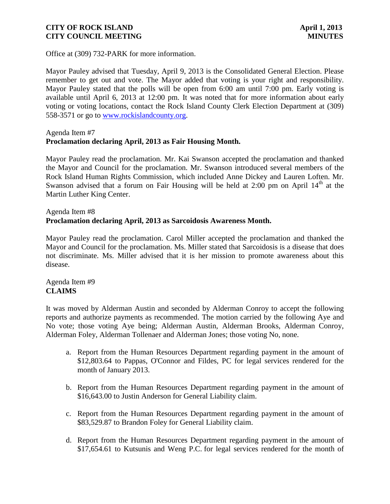Office at (309) 732-PARK for more information.

Mayor Pauley advised that Tuesday, April 9, 2013 is the Consolidated General Election. Please remember to get out and vote. The Mayor added that voting is your right and responsibility. Mayor Pauley stated that the polls will be open from 6:00 am until 7:00 pm. Early voting is available until April 6, 2013 at 12:00 pm. It was noted that for more information about early voting or voting locations, contact the Rock Island County Clerk Election Department at (309) 558-3571 or go to [www.rockislandcounty.org.](http://www.rockislandcounty.org/)

Agenda Item #7

# **Proclamation declaring April, 2013 as Fair Housing Month.**

Mayor Pauley read the proclamation. Mr. Kai Swanson accepted the proclamation and thanked the Mayor and Council for the proclamation. Mr. Swanson introduced several members of the Rock Island Human Rights Commission, which included Anne Dickey and Lauren Loften. Mr. Swanson advised that a forum on Fair Housing will be held at  $2:00$  pm on April  $14<sup>th</sup>$  at the Martin Luther King Center.

# Agenda Item #8 **Proclamation declaring April, 2013 as Sarcoidosis Awareness Month.**

Mayor Pauley read the proclamation. Carol Miller accepted the proclamation and thanked the Mayor and Council for the proclamation. Ms. Miller stated that Sarcoidosis is a disease that does not discriminate. Ms. Miller advised that it is her mission to promote awareness about this disease.

Agenda Item #9 **CLAIMS**

It was moved by Alderman Austin and seconded by Alderman Conroy to accept the following reports and authorize payments as recommended. The motion carried by the following Aye and No vote; those voting Aye being; Alderman Austin, Alderman Brooks, Alderman Conroy, Alderman Foley, Alderman Tollenaer and Alderman Jones; those voting No, none.

- a. Report from the Human Resources Department regarding payment in the amount of \$12,803.64 to Pappas, O'Connor and Fildes, PC for legal services rendered for the month of January 2013.
- b. Report from the Human Resources Department regarding payment in the amount of \$16,643.00 to Justin Anderson for General Liability claim.
- c. Report from the Human Resources Department regarding payment in the amount of \$83,529.87 to Brandon Foley for General Liability claim.
- d. Report from the Human Resources Department regarding payment in the amount of \$17,654.61 to Kutsunis and Weng P.C. for legal services rendered for the month of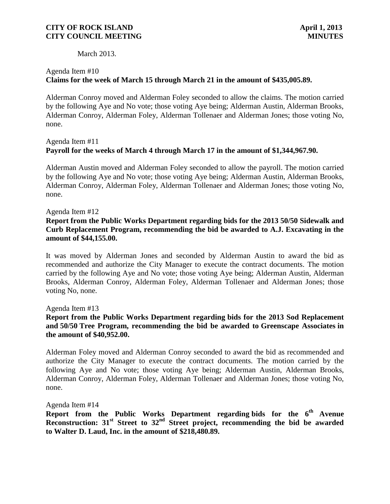March 2013.

# Agenda Item #10 **Claims for the week of March 15 through March 21 in the amount of \$435,005.89.**

 Alderman Conroy moved and Alderman Foley seconded to allow the claims. The motion carried by the following Aye and No vote; those voting Aye being; Alderman Austin, Alderman Brooks, Alderman Conroy, Alderman Foley, Alderman Tollenaer and Alderman Jones; those voting No, none.

# Agenda Item #11 **Payroll for the weeks of March 4 through March 17 in the amount of \$1,344,967.90.**

Alderman Austin moved and Alderman Foley seconded to allow the payroll. The motion carried by the following Aye and No vote; those voting Aye being; Alderman Austin, Alderman Brooks, Alderman Conroy, Alderman Foley, Alderman Tollenaer and Alderman Jones; those voting No, none.

Agenda Item #12

# **Report from the Public Works Department regarding bids for the 2013 50/50 Sidewalk and Curb Replacement Program, recommending the bid be awarded to A.J. Excavating in the amount of \$44,155.00.**

It was moved by Alderman Jones and seconded by Alderman Austin to award the bid as recommended and authorize the City Manager to execute the contract documents. The motion carried by the following Aye and No vote; those voting Aye being; Alderman Austin, Alderman Brooks, Alderman Conroy, Alderman Foley, Alderman Tollenaer and Alderman Jones; those voting No, none.

Agenda Item #13

# **Report from the Public Works Department regarding bids for the 2013 Sod Replacement and 50/50 Tree Program, recommending the bid be awarded to Greenscape Associates in the amount of \$40,952.00.**

Alderman Foley moved and Alderman Conroy seconded to award the bid as recommended and authorize the City Manager to execute the contract documents. The motion carried by the following Aye and No vote; those voting Aye being; Alderman Austin, Alderman Brooks, Alderman Conroy, Alderman Foley, Alderman Tollenaer and Alderman Jones; those voting No, none.

Agenda Item #14

**Report from the Public Works Department regarding bids for the 6th Avenue Reconstruction: 31st Street to 32nd Street project, recommending the bid be awarded to Walter D. Laud, Inc. in the amount of \$218,480.89.**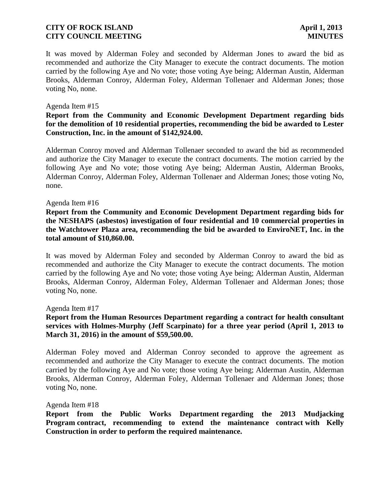It was moved by Alderman Foley and seconded by Alderman Jones to award the bid as recommended and authorize the City Manager to execute the contract documents. The motion carried by the following Aye and No vote; those voting Aye being; Alderman Austin, Alderman Brooks, Alderman Conroy, Alderman Foley, Alderman Tollenaer and Alderman Jones; those voting No, none.

#### Agenda Item #15

## **Report from the Community and Economic Development Department regarding bids for the demolition of 10 residential properties, recommending the bid be awarded to Lester Construction, Inc. in the amount of \$142,924.00.**

Alderman Conroy moved and Alderman Tollenaer seconded to award the bid as recommended and authorize the City Manager to execute the contract documents. The motion carried by the following Aye and No vote; those voting Aye being; Alderman Austin, Alderman Brooks, Alderman Conroy, Alderman Foley, Alderman Tollenaer and Alderman Jones; those voting No, none.

#### Agenda Item #16

### **Report from the Community and Economic Development Department regarding bids for the NESHAPS (asbestos) investigation of four residential and 10 commercial properties in the Watchtower Plaza area, recommending the bid be awarded to EnviroNET, Inc. in the total amount of \$10,860.00.**

It was moved by Alderman Foley and seconded by Alderman Conroy to award the bid as recommended and authorize the City Manager to execute the contract documents. The motion carried by the following Aye and No vote; those voting Aye being; Alderman Austin, Alderman Brooks, Alderman Conroy, Alderman Foley, Alderman Tollenaer and Alderman Jones; those voting No, none.

Agenda Item #17

# **Report from the Human Resources Department regarding a contract for health consultant services with Holmes-Murphy (Jeff Scarpinato) for a three year period (April 1, 2013 to March 31, 2016) in the amount of \$59,500.00.**

Alderman Foley moved and Alderman Conroy seconded to approve the agreement as recommended and authorize the City Manager to execute the contract documents. The motion carried by the following Aye and No vote; those voting Aye being; Alderman Austin, Alderman Brooks, Alderman Conroy, Alderman Foley, Alderman Tollenaer and Alderman Jones; those voting No, none.

#### Agenda Item #18

**Report from the Public Works Department regarding the 2013 Mudjacking Program contract, recommending to extend the maintenance contract with Kelly Construction in order to perform the required maintenance.**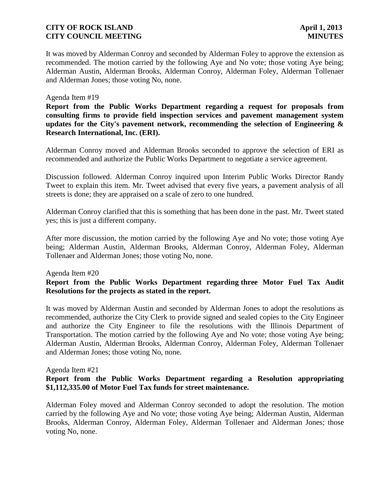It was moved by Alderman Conroy and seconded by Alderman Foley to approve the extension as recommended. The motion carried by the following Aye and No vote; those voting Aye being; Alderman Austin, Alderman Brooks, Alderman Conroy, Alderman Foley, Alderman Tollenaer and Alderman Jones; those voting No, none.

#### Agenda Item #19

**Report from the Public Works Department regarding a request for proposals from consulting firms to provide field inspection services and pavement management system updates for the City's pavement network, recommending the selection of Engineering & Research International, Inc. (ERI).**

Alderman Conroy moved and Alderman Brooks seconded to approve the selection of ERI as recommended and authorize the Public Works Department to negotiate a service agreement.

Discussion followed. Alderman Conroy inquired upon Interim Public Works Director Randy Tweet to explain this item. Mr. Tweet advised that every five years, a pavement analysis of all streets is done; they are appraised on a scale of zero to one hundred.

Alderman Conroy clarified that this is something that has been done in the past. Mr. Tweet stated yes; this is just a different company.

After more discussion, the motion carried by the following Aye and No vote; those voting Aye being; Alderman Austin, Alderman Brooks, Alderman Conroy, Alderman Foley, Alderman Tollenaer and Alderman Jones; those voting No, none.

#### Agenda Item #20

# **Report from the Public Works Department regarding three Motor Fuel Tax Audit Resolutions for the projects as stated in the report.**

It was moved by Alderman Austin and seconded by Alderman Jones to adopt the resolutions as recommended, authorize the City Clerk to provide signed and sealed copies to the City Engineer and authorize the City Engineer to file the resolutions with the Illinois Department of Transportation. The motion carried by the following Aye and No vote; those voting Aye being; Alderman Austin, Alderman Brooks, Alderman Conroy, Alderman Foley, Alderman Tollenaer and Alderman Jones; those voting No, none.

#### Agenda Item #21

# **Report from the Public Works Department regarding a Resolution appropriating \$1,112,335.00 of Motor Fuel Tax funds for street maintenance.**

Alderman Foley moved and Alderman Conroy seconded to adopt the resolution. The motion carried by the following Aye and No vote; those voting Aye being; Alderman Austin, Alderman Brooks, Alderman Conroy, Alderman Foley, Alderman Tollenaer and Alderman Jones; those voting No, none.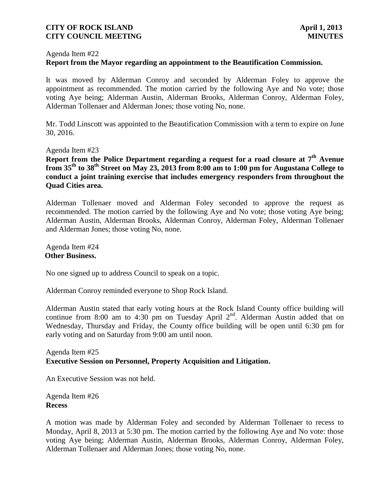#### Agenda Item #22

### **Report from the Mayor regarding an appointment to the Beautification Commission.**

It was moved by Alderman Conroy and seconded by Alderman Foley to approve the appointment as recommended. The motion carried by the following Aye and No vote; those voting Aye being; Alderman Austin, Alderman Brooks, Alderman Conroy, Alderman Foley, Alderman Tollenaer and Alderman Jones; those voting No, none.

Mr. Todd Linscott was appointed to the Beautification Commission with a term to expire on June 30, 2016.

Agenda Item #23

**Report from the Police Department regarding a request for a road closure at 7th Avenue from 35th to 38th Street on May 23, 2013 from 8:00 am to 1:00 pm for Augustana College to conduct a joint training exercise that includes emergency responders from throughout the Quad Cities area.**

Alderman Tollenaer moved and Alderman Foley seconded to approve the request as recommended. The motion carried by the following Aye and No vote; those voting Aye being; Alderman Austin, Alderman Brooks, Alderman Conroy, Alderman Foley, Alderman Tollenaer and Alderman Jones; those voting No, none.

Agenda Item #24 **Other Business.**

No one signed up to address Council to speak on a topic.

Alderman Conroy reminded everyone to Shop Rock Island.

Alderman Austin stated that early voting hours at the Rock Island County office building will continue from 8:00 am to 4:30 pm on Tuesday April  $2<sup>nd</sup>$ . Alderman Austin added that on Wednesday, Thursday and Friday, the County office building will be open until 6:30 pm for early voting and on Saturday from 9:00 am until noon.

Agenda Item #25 **Executive Session on Personnel, Property Acquisition and Litigation.**

An Executive Session was not held.

Agenda Item #26 **Recess**

A motion was made by Alderman Foley and seconded by Alderman Tollenaer to recess to Monday, April 8, 2013 at 5:30 pm. The motion carried by the following Aye and No vote: those voting Aye being; Alderman Austin, Alderman Brooks, Alderman Conroy, Alderman Foley, Alderman Tollenaer and Alderman Jones; those voting No, none.